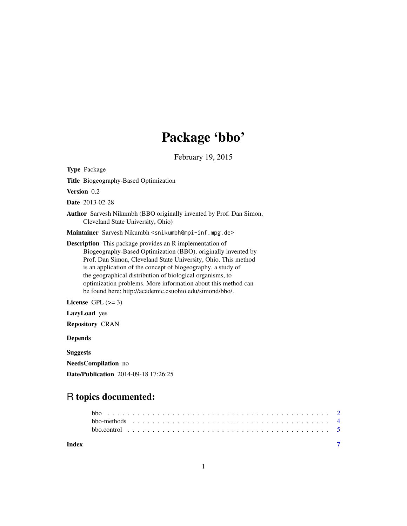# Package 'bbo'

February 19, 2015

Type Package

Title Biogeography-Based Optimization

Version 0.2

Date 2013-02-28

Author Sarvesh Nikumbh (BBO originally invented by Prof. Dan Simon, Cleveland State University, Ohio)

Maintainer Sarvesh Nikumbh <snikumbh@mpi-inf.mpg.de>

Description This package provides an R implementation of Biogeography-Based Optimization (BBO), originally invented by Prof. Dan Simon, Cleveland State University, Ohio. This method is an application of the concept of biogeography, a study of the geographical distribution of biological organisms, to optimization problems. More information about this method can be found here: http://academic.csuohio.edu/simond/bbo/.

License GPL  $(>= 3)$ 

LazyLoad yes

Repository CRAN

Depends

Suggests

NeedsCompilation no

Date/Publication 2014-09-18 17:26:25

# R topics documented:

| Index |  |  |  |  |  |  |  |  |  |  |  |  |  |  |  |  |  |  |  |
|-------|--|--|--|--|--|--|--|--|--|--|--|--|--|--|--|--|--|--|--|
|       |  |  |  |  |  |  |  |  |  |  |  |  |  |  |  |  |  |  |  |
|       |  |  |  |  |  |  |  |  |  |  |  |  |  |  |  |  |  |  |  |
|       |  |  |  |  |  |  |  |  |  |  |  |  |  |  |  |  |  |  |  |

1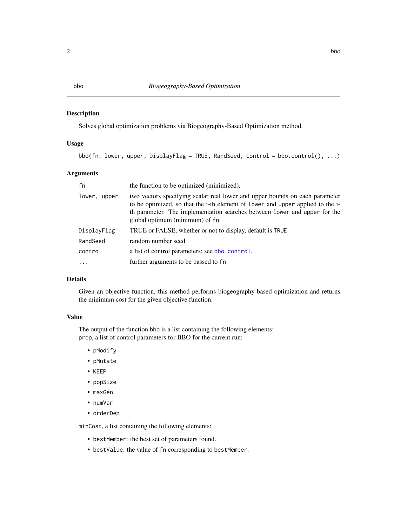### <span id="page-1-1"></span><span id="page-1-0"></span>Description

Solves global optimization problems via Biogeography-Based Optimization method.

#### Usage

bbo(fn, lower, upper, DisplayFlag = TRUE, RandSeed, control = bbo.control(), ...)

#### Arguments

| fn           | the function to be optimized (minimized).                                                                                                                                                                                                                                     |
|--------------|-------------------------------------------------------------------------------------------------------------------------------------------------------------------------------------------------------------------------------------------------------------------------------|
| lower, upper | two vectors specifying scalar real lower and upper bounds on each parameter<br>to be optimized, so that the i-th element of lower and upper applied to the i-<br>th parameter. The implementation searches between lower and upper for the<br>global optimum (minimum) of fn. |
| DisplayFlag  | TRUE or FALSE, whether or not to display, default is TRUE                                                                                                                                                                                                                     |
| RandSeed     | random number seed                                                                                                                                                                                                                                                            |
| control      | a list of control parameters; see bbo. control.                                                                                                                                                                                                                               |
|              | further arguments to be passed to fn                                                                                                                                                                                                                                          |

# Details

Given an objective function, this method performs biogeography-based optimization and returns the minimum cost for the given objective function.

#### Value

The output of the function bbo is a list containing the following elements: prop, a list of control parameters for BBO for the current run:

- pModify
- pMutate
- KEEP
- popSize
- maxGen
- numVar
- orderDep

minCost, a list containing the following elements:

- bestMember: the best set of parameters found.
- bestValue: the value of fn corresponding to bestMember.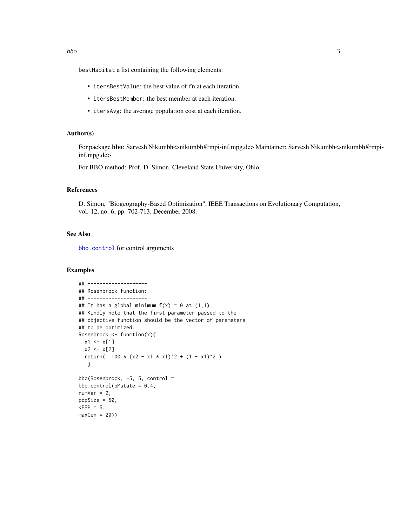<span id="page-2-0"></span>bestHabitat a list containing the following elements:

- itersBestValue: the best value of fn at each iteration.
- itersBestMember: the best member at each iteration.
- itersAvg: the average population cost at each iteration.

#### Author(s)

For package bbo: Sarvesh Nikumbh<snikumbh@mpi-inf.mpg.de> Maintainer: Sarvesh Nikumbh<snikumbh@mpiinf.mpg.de>

For BBO method: Prof. D. Simon, Cleveland State University, Ohio.

#### References

D. Simon, "Biogeography-Based Optimization", IEEE Transactions on Evolutionary Computation, vol. 12, no. 6, pp. 702-713, December 2008.

### See Also

[bbo.control](#page-4-1) for control arguments

#### Examples

```
## --------------------
## Rosenbrock function:
## --------------------
## It has a global minimum f(x) = 0 at (1,1).
## Kindly note that the first parameter passed to the
## objective function should be the vector of parameters
## to be optimized.
Rosenbrock \leq function(x){
  x1 \leftarrow x[1]x2 < - x[2]return( 100 \times (x2 - x1 \times x1)^2 + (1 - x1)^2 )
   }
bbo(Rosenbrock, -5, 5, control =
bbo.control(pMutate = 0.4,
numVar = 2,
popSize = 50,
KEEP = 5,
maxGen = 20)
```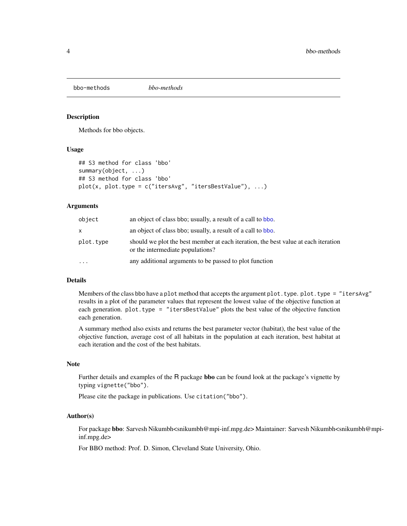<span id="page-3-0"></span>bbo-methods *bbo-methods*

#### **Description**

Methods for bbo objects.

#### Usage

```
## S3 method for class 'bbo'
summary(object, ...)
## S3 method for class 'bbo'
plot(x, plot-type = c("itersAvg", "itersBestValue"), ...)
```
#### **Arguments**

| object    | an object of class bbo; usually, a result of a call to bbo.                                                            |
|-----------|------------------------------------------------------------------------------------------------------------------------|
| x         | an object of class bbo; usually, a result of a call to bbo.                                                            |
| plot.type | should we plot the best member at each iteration, the best value at each iteration<br>or the intermediate populations? |
| $\ddotsc$ | any additional arguments to be passed to plot function                                                                 |

#### Details

Members of the class bbo have a plot method that accepts the argument plot.type. plot.type = "itersAvg" results in a plot of the parameter values that represent the lowest value of the objective function at each generation. plot.type = "itersBestValue" plots the best value of the objective function each generation.

A summary method also exists and returns the best parameter vector (habitat), the best value of the objective function, average cost of all habitats in the population at each iteration, best habitat at each iteration and the cost of the best habitats.

#### Note

Further details and examples of the R package bbo can be found look at the package's vignette by typing vignette("bbo").

Please cite the package in publications. Use citation("bbo").

#### Author(s)

For package bbo: Sarvesh Nikumbh<snikumbh@mpi-inf.mpg.de> Maintainer: Sarvesh Nikumbh<snikumbh@mpiinf.mpg.de>

For BBO method: Prof. D. Simon, Cleveland State University, Ohio.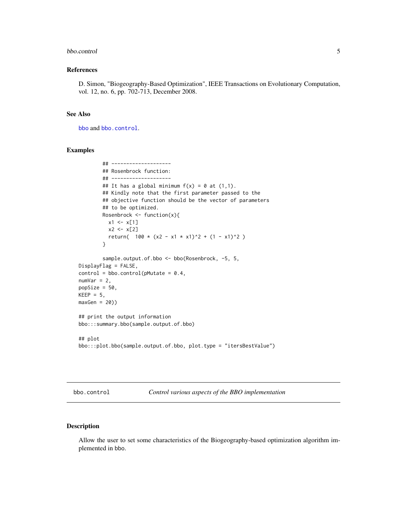#### <span id="page-4-0"></span>bbo.control 5

#### References

D. Simon, "Biogeography-Based Optimization", IEEE Transactions on Evolutionary Computation, vol. 12, no. 6, pp. 702-713, December 2008.

#### See Also

[bbo](#page-1-1) and [bbo.control](#page-4-1).

#### Examples

```
## --------------------
        ## Rosenbrock function:
        ## --------------------
        ## It has a global minimum f(x) = 0 at (1,1).
        ## Kindly note that the first parameter passed to the
        ## objective function should be the vector of parameters
        ## to be optimized.
        Rosenbrock <- function(x){
          x1 \leftarrow x[1]x2 < - x[2]return( 100 \times (x2 - x1 \times x1)^2 + (1 - x1)^2 )
        }
        sample.output.of.bbo <- bbo(Rosenbrock, -5, 5,
DisplayFlag = FALSE,
control = bbo.contrib(pMutate = 0.4,numVar = 2,
popSize = 50,
KEEP = 5,
maxGen = 20)## print the output information
bbo:::summary.bbo(sample.output.of.bbo)
## plot
bbo:::plot.bbo(sample.output.of.bbo, plot.type = "itersBestValue")
```
<span id="page-4-1"></span>bbo.control *Control various aspects of the BBO implementation*

#### Description

Allow the user to set some characteristics of the Biogeography-based optimization algorithm implemented in bbo.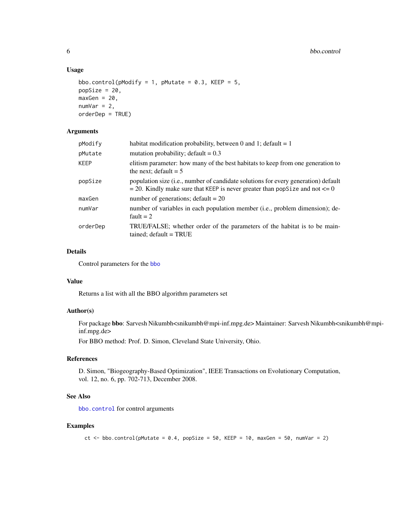#### Usage

```
bbo.control(pModify = 1, pMutate = 0.3, KEEP = 5,
popSize = 20,
maxGen = 20,
numVar = 2,
orderDep = TRUE)
```
# Arguments

| pModify     | habitat modification probability, between 0 and 1; default = $1$                                                                                                                 |
|-------------|----------------------------------------------------------------------------------------------------------------------------------------------------------------------------------|
| pMutate     | mutation probability; default $= 0.3$                                                                                                                                            |
| <b>KEEP</b> | elitism parameter: how many of the best habitats to keep from one generation to<br>the next; default $= 5$                                                                       |
| popSize     | population size ( <i>i.e.</i> , number of candidate solutions for every generation) default<br>$=$ 20. Kindly make sure that KEEP is never greater than popSize and not $\leq 0$ |
| maxGen      | number of generations; $default = 20$                                                                                                                                            |
| numVar      | number of variables in each population member (i.e., problem dimension); de-<br>fault $= 2$                                                                                      |
| orderDep    | TRUE/FALSE; whether order of the parameters of the habitat is to be main-<br>$tained$ ; $default = TRUE$                                                                         |

### Details

Control parameters for the [bbo](#page-1-1)

# Value

Returns a list with all the BBO algorithm parameters set

## Author(s)

For package bbo: Sarvesh Nikumbh<snikumbh@mpi-inf.mpg.de> Maintainer: Sarvesh Nikumbh<snikumbh@mpiinf.mpg.de>

For BBO method: Prof. D. Simon, Cleveland State University, Ohio.

#### References

D. Simon, "Biogeography-Based Optimization", IEEE Transactions on Evolutionary Computation, vol. 12, no. 6, pp. 702-713, December 2008.

#### See Also

[bbo.control](#page-4-1) for control arguments

#### Examples

```
ct <- bbo.control(pMutate = 0.4, popSize = 50, KEEP = 10, maxGen = 50, numVar = 2)
```
<span id="page-5-0"></span>